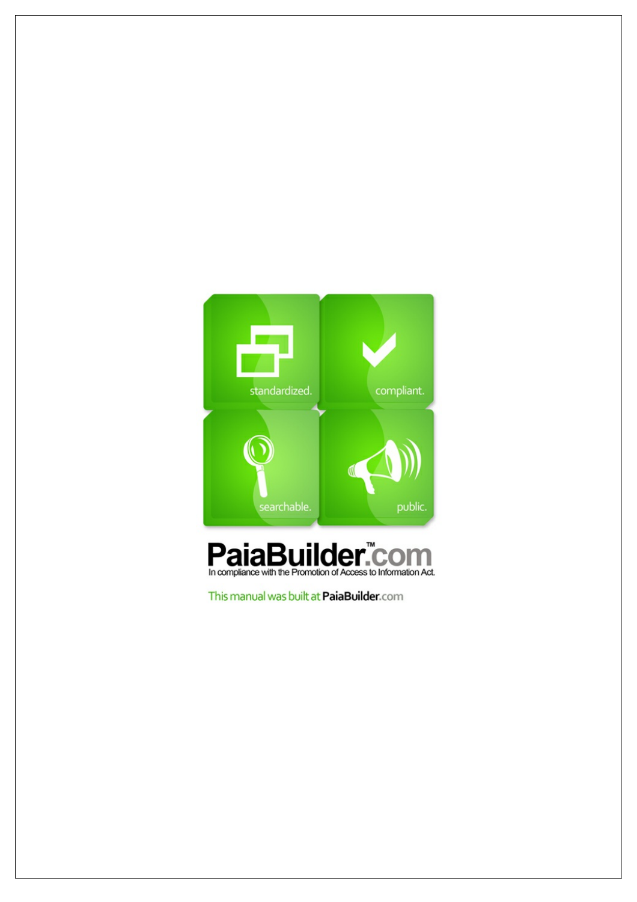



This manual was built at PaiaBuilder.com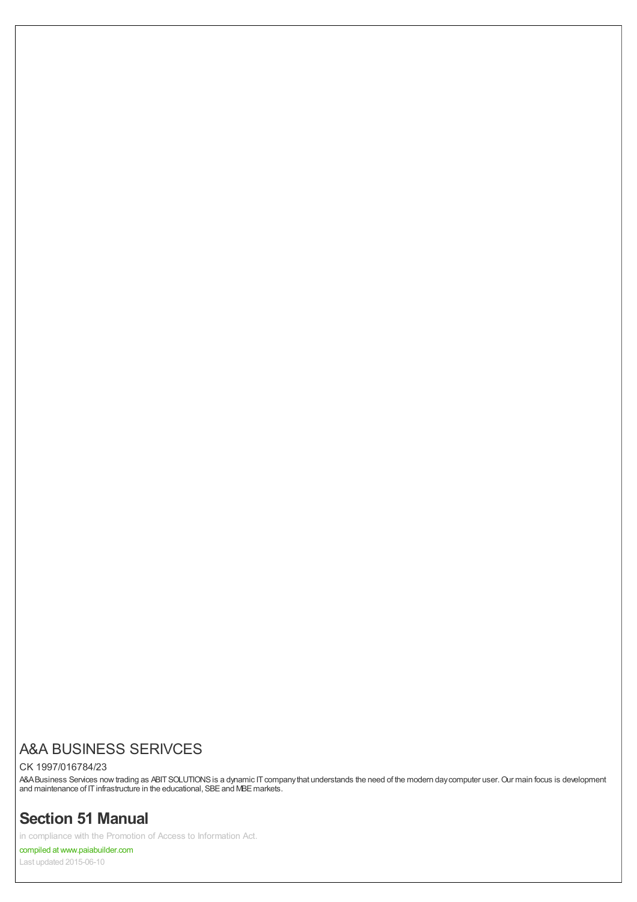# A&A BUSINESS SERIVCES

#### CK 1997/016784/23

A&ABusiness Services now trading as ABIT SOLUTIONS is a dynamic IT companythat understands the need of the modern day computer user. Our main focus is development and maintenance of IT infrastructure in the educational, SBE and MBE markets.

# **Section 51 Manual**

in compliance with the Promotion of Access to Information Act.

compiled atwww.paiabuilder.com

Last updated 2015-06-10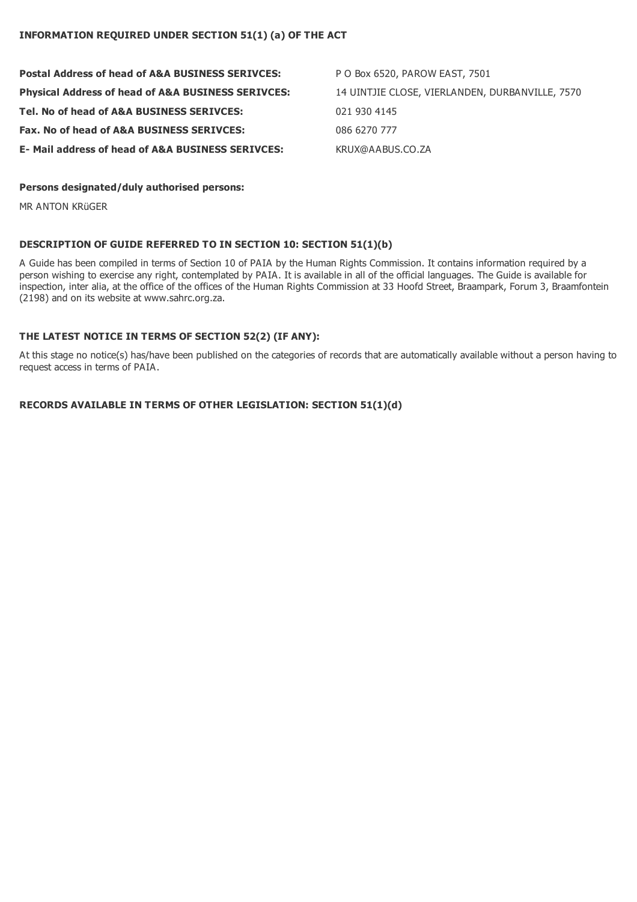| <b>Postal Address of head of A&amp;A BUSINESS SERIVCES:</b>   | P O Box 6520, PAROW EAST, 7501                  |
|---------------------------------------------------------------|-------------------------------------------------|
| <b>Physical Address of head of A&amp;A BUSINESS SERIVCES:</b> | 14 UINTJIE CLOSE, VIERLANDEN, DURBANVILLE, 7570 |
| Tel. No of head of A&A BUSINESS SERIVCES:                     | 021 930 4145                                    |
| Fax. No of head of A&A BUSINESS SERIVCES:                     | 086 6270 777                                    |
| <b>E- Mail address of head of A&amp;A BUSINESS SERIVCES:</b>  | KRUX@AABUS.CO.ZA                                |

#### **Persons designated/duly authorised persons:**

MR ANTON KRüGER

### **DESCRIPTION OF GUIDE REFERRED TO IN SECTION 10: SECTION 51(1)(b)**

A Guide has been compiled in terms of Section 10 of PAIA by the Human Rights Commission. It contains information required by a person wishing to exercise any right, contemplated by PAIA. It is available in all of the official languages. The Guide is available for inspection, inter alia, at the office of the offices of the Human Rights Commission at 33 Hoofd Street, Braampark, Forum 3, Braamfontein (2198) and on its website at www.sahrc.org.za.

### **THE LATEST NOTICE IN TERMS OF SECTION 52(2) (IF ANY):**

At this stage no notice(s) has/have been published on the categories of records that are automatically available without a person having to request access in terms of PAIA.

**RECORDS AVAILABLE IN TERMS OF OTHER LEGISLATION: SECTION 51(1)(d)**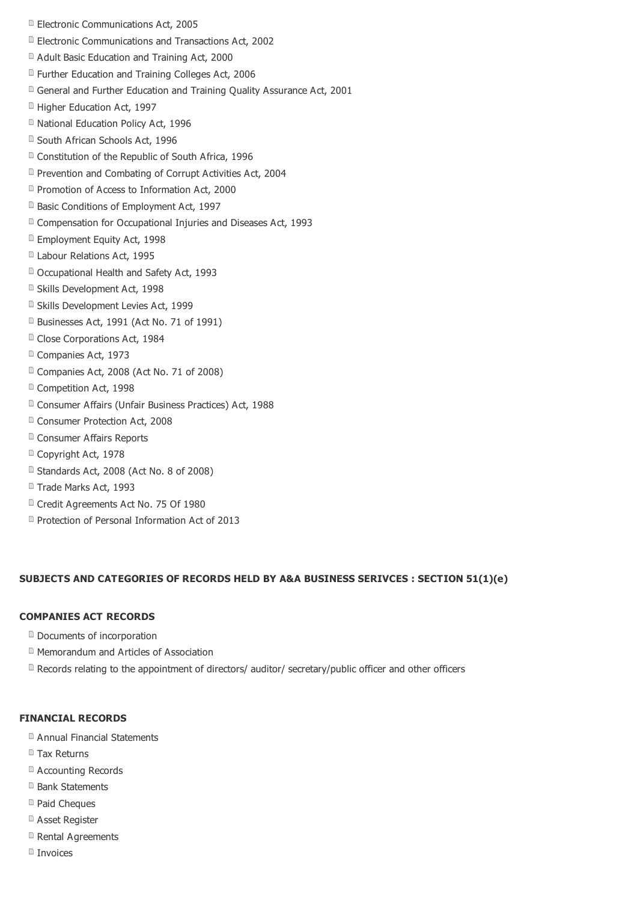- **Electronic Communications Act, 2005**
- Electronic Communications and Transactions Act, 2002
- Adult Basic Education and Training Act, 2000
- **E** Further Education and Training Colleges Act, 2006
- General and Further Education and Training Quality Assurance Act, 2001
- **Higher Education Act, 1997**
- National Education Policy Act, 1996
- South African Schools Act, 1996
- Constitution of the Republic of South Africa, 1996
- Prevention and Combating of Corrupt Activities Act, 2004
- **P** Promotion of Access to Information Act, 2000
- **B** Basic Conditions of Employment Act, 1997
- Compensation for Occupational Injuries and Diseases Act, 1993
- **Employment Equity Act, 1998**
- D Labour Relations Act, 1995
- D Occupational Health and Safety Act, 1993
- Skills Development Act, 1998
- Skills Development Levies Act, 1999
- Businesses Act, 1991 (Act No. 71 of 1991)
- <sup>a</sup> Close Corporations Act, 1984
- Companies Act, 1973
- Companies Act, 2008 (Act No. 71 of 2008)
- Competition Act, 1998
- Consumer Affairs (Unfair Business Practices) Act, 1988
- Consumer Protection Act, 2008
- **D** Consumer Affairs Reports
- Copyright Act, 1978
- Standards Act, 2008 (Act No. 8 of 2008)
- Trade Marks Act, 1993
- <sup>n</sup> Credit Agreements Act No. 75 Of 1980
- **Protection of Personal Information Act of 2013**

#### **SUBJECTS AND CATEGORIES OF RECORDS HELD BY A&A BUSINESS SERIVCES : SECTION 51(1)(e)**

### **COMPANIES ACT RECORDS**

- Documents of incorporation
- Memorandum and Articles of Association
- $\Box$  Records relating to the appointment of directors/ auditor/ secretary/public officer and other officers

#### **FINANCIAL RECORDS**

- Annual Financial Statements
- **Tax Returns**
- Accounting Records
- **Bank Statements**
- <sup>n</sup> Paid Cheques
- Asset Register
- **Rental Agreements**
- Invoices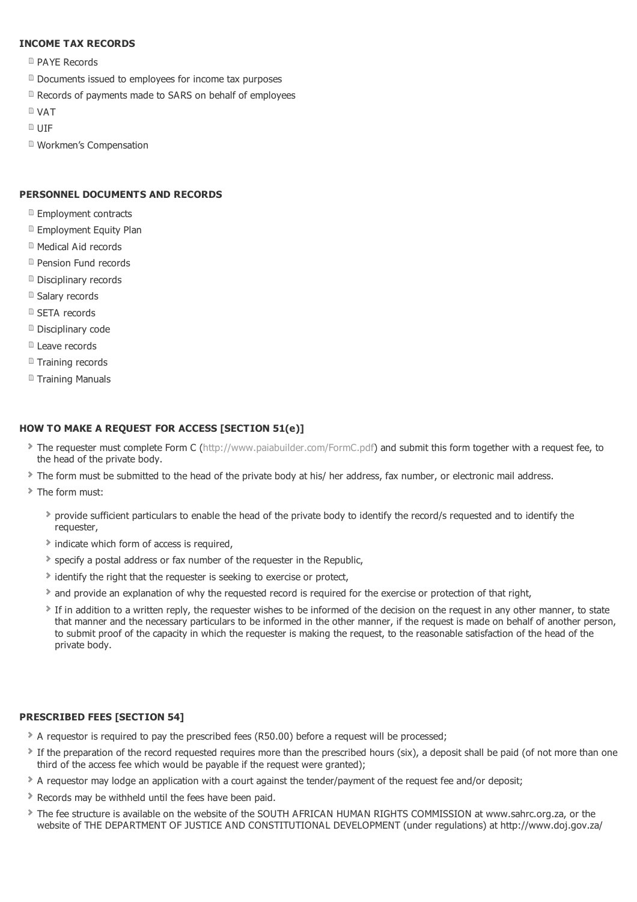# **INCOME TAX RECORDS**

- **PAYE Records**
- Documents issued to employees for income tax purposes
- **Records of payments made to SARS on behalf of employees**
- VAT
- $D$  UIF
- Workmen's Compensation

# **PERSONNEL DOCUMENTS AND RECORDS**

- **Employment contracts**
- **E** Employment Equity Plan
- Medical Aid records
- **Pension Fund records**
- Disciplinary records
- Salary records
- **B** SETA records
- Disciplinary code
- **Leave records**
- Training records
- Training Manuals

## **HOW TO MAKE A REQUEST FOR ACCESS [SECTION 51(e)]**

- The requester must complete Form C [\(http://www.paiabuilder.com/FormC.pdf](http://www.paiabuilder.com/FormC.pdf)) and submit this form together with a request fee, to the head of the private body.
- The form must be submitted to the head of the private body at his/ her address, fax number, or electronic mail address.
- The form must:
	- provide sufficient particulars to enable the head of the private body to identify the record/s requested and to identify the requester,
	- Indicate which form of access is required,
	- specify a postal address or fax number of the requester in the Republic,
	- If identify the right that the requester is seeking to exercise or protect,
	- $\bullet$  and provide an explanation of why the requested record is required for the exercise or protection of that right,
	- If in addition to a written reply, the requester wishes to be informed of the decision on the request in any other manner, to state that manner and the necessary particulars to be informed in the other manner, if the request is made on behalf of another person, to submit proof of the capacity in which the requester is making the request, to the reasonable satisfaction of the head of the private body.

### **PRESCRIBED FEES [SECTION 54]**

- A requestor is required to pay the prescribed fees (R50.00) before a request will be processed;
- If the preparation of the record requested requires more than the prescribed hours (six), a deposit shall be paid (of not more than one third of the access fee which would be payable if the request were granted);
- A requestor may lodge an application with a court against the tender/payment of the request fee and/or deposit;
- Records may be withheld until the fees have been paid.
- The fee structure is available on the website of the SOUTH AFRICAN HUMAN RIGHTS COMMISSION at www.sahrc.org.za, or the website of THE DEPARTMENT OF JUSTICE AND CONSTITUTIONAL DEVELOPMENT (under regulations) at http://www.doj.gov.za/